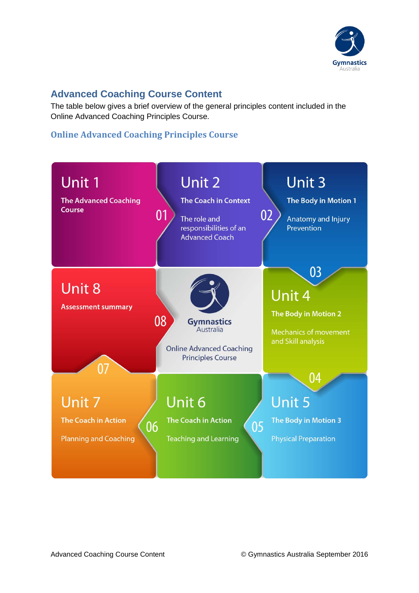

## **Advanced Coaching Course Content**

The table below gives a brief overview of the general principles content included in the Online Advanced Coaching Principles Course.

## **Online Advanced Coaching Principles Course**

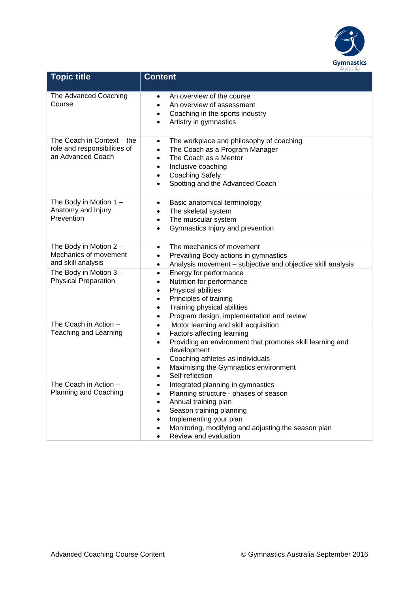

| <b>Topic title</b>                                                              | <b>Content</b>                                                                                                                                                                                                                                                                                                               |
|---------------------------------------------------------------------------------|------------------------------------------------------------------------------------------------------------------------------------------------------------------------------------------------------------------------------------------------------------------------------------------------------------------------------|
| The Advanced Coaching<br>Course                                                 | An overview of the course<br>$\bullet$<br>An overview of assessment<br>Coaching in the sports industry<br>$\bullet$<br>Artistry in gymnastics<br>$\bullet$                                                                                                                                                                   |
| The Coach in Context - the<br>role and responsibilities of<br>an Advanced Coach | The workplace and philosophy of coaching<br>$\bullet$<br>The Coach as a Program Manager<br>$\bullet$<br>The Coach as a Mentor<br>$\bullet$<br>Inclusive coaching<br>$\bullet$<br><b>Coaching Safely</b><br>$\bullet$<br>Spotting and the Advanced Coach<br>$\bullet$                                                         |
| The Body in Motion 1 -<br>Anatomy and Injury<br>Prevention                      | Basic anatomical terminology<br>$\bullet$<br>The skeletal system<br>$\bullet$<br>The muscular system<br>$\bullet$<br>Gymnastics Injury and prevention<br>$\bullet$                                                                                                                                                           |
| The Body in Motion $2 -$<br>Mechanics of movement<br>and skill analysis         | The mechanics of movement<br>$\bullet$<br>Prevailing Body actions in gymnastics<br>$\bullet$<br>Analysis movement - subjective and objective skill analysis<br>$\bullet$                                                                                                                                                     |
| The Body in Motion $3 -$<br><b>Physical Preparation</b>                         | Energy for performance<br>$\bullet$<br>Nutrition for performance<br>$\bullet$<br>Physical abilities<br>$\bullet$<br>Principles of training<br>$\bullet$<br>Training physical abilities<br>$\bullet$<br>Program design, implementation and review<br>$\bullet$                                                                |
| The Coach in Action -<br>Teaching and Learning                                  | Motor learning and skill acquisition<br>$\bullet$<br>Factors affecting learning<br>$\bullet$<br>Providing an environment that promotes skill learning and<br>$\bullet$<br>development<br>Coaching athletes as individuals<br>$\bullet$<br>Maximising the Gymnastics environment<br>$\bullet$<br>Self-reflection<br>$\bullet$ |
| The Coach in Action -<br><b>Planning and Coaching</b>                           | Integrated planning in gymnastics<br>$\bullet$<br>Planning structure - phases of season<br>$\bullet$<br>Annual training plan<br>$\bullet$<br>Season training planning<br>٠<br>Implementing your plan<br>$\bullet$<br>Monitoring, modifying and adjusting the season plan<br>$\bullet$<br>Review and evaluation               |